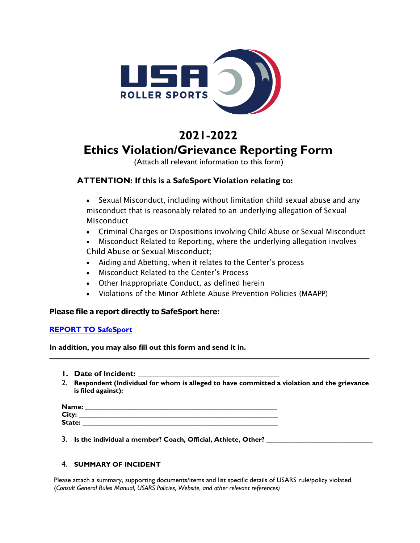

# **2021-2022 Ethics Violation/Grievance Reporting Form**

(Attach all relevant information to this form)

# **ATTENTION: If this is a SafeSport Violation relating to:**

- Sexual Misconduct, including without limitation child sexual abuse and any misconduct that is reasonably related to an underlying allegation of Sexual **Misconduct**
- Criminal Charges or Dispositions involving Child Abuse or Sexual Misconduct
- Misconduct Related to Reporting, where the underlying allegation involves Child Abuse or Sexual Misconduct;
- Aiding and Abetting, when it relates to the Center's process
- Misconduct Related to the Center's Process
- Other Inappropriate Conduct, as defined herein
- Violations of the Minor Athlete Abuse Prevention Policies (MAAPP)

## **Please file a report directly to SafeSport here:**

## **REPORT TO SafeSport**

**In addition, you may also fill out this form and send it in.**

- **1. Date of Incident:**
- 2. **Respondent (Individual for whom is alleged to have committed a violation and the grievance is filed against):**

| Name:  |  |
|--------|--|
| City:  |  |
| State: |  |

3. **Is the individual a member? Coach, Official, Athlete, Other? \_\_\_\_\_\_\_\_\_\_\_\_\_\_\_\_\_\_\_\_\_\_\_\_\_\_\_\_\_\_\_**

### 4. **SUMMARY OF INCIDENT**

Please attach a summary, supporting documents/items and list specific details of USARS rule/policy violated. (*Consult General Rules Manual, USARS Policies, Website, and other relevant references)*